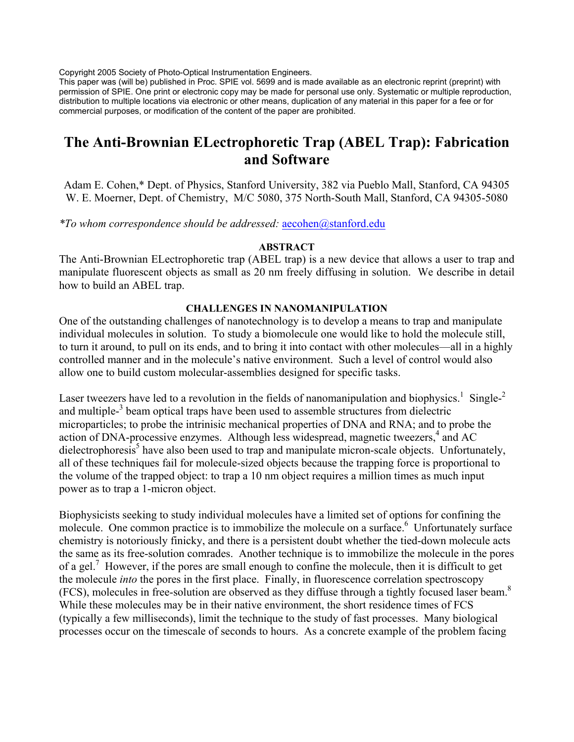Copyright 2005 Society of Photo-Optical Instrumentation Engineers.

This paper was (will be) published in Proc. SPIE vol. 5699 and is made available as an electronic reprint (preprint) with permission of SPIE. One print or electronic copy may be made for personal use only. Systematic or multiple reproduction, distribution to multiple locations via electronic or other means, duplication of any material in this paper for a fee or for commercial purposes, or modification of the content of the paper are prohibited.

# **The Anti-Brownian ELectrophoretic Trap (ABEL Trap): Fabrication and Software**

Adam E. Cohen,\* Dept. of Physics, Stanford University, 382 via Pueblo Mall, Stanford, CA 94305 W. E. Moerner, Dept. of Chemistry, M/C 5080, 375 North-South Mall, Stanford, CA 94305-5080

*\*To whom correspondence should be addressed:* [aecohen@stanford.edu](mailto:aecohen@stanford.edu)

#### **ABSTRACT**

The Anti-Brownian ELectrophoretic trap (ABEL trap) is a new device that allows a user to trap and manipulate fluorescent objects as small as 20 nm freely diffusing in solution. We describe in detail how to build an ABEL trap.

#### **CHALLENGES IN NANOMANIPULATION**

One of the outstanding challenges of nanotechnology is to develop a means to trap and manipulate individual molecules in solution. To study a biomolecule one would like to hold the molecule still, to turn it around, to pull on its ends, and to bring it into contact with other molecules—all in a highly controlled manner and in the molecule's native environment. Such a level of control would also allow one to build custom molecular-assemblies designed for specific tasks.

Laser tweezers have led to a revolution in the fields of nanomanipulation and biophysics.<sup>[1](#page-9-0)</sup> Single- $2$ and multiple-<sup>[3](#page-9-2)</sup> beam optical traps have been used to assemble structures from dielectric microparticles; to probe the intrinisic mechanical properties of DNA and RNA; and to probe the action of DNA-processive enzymes. Although less widespread, magnetic tweezers,<sup>[4](#page-9-3)</sup> and AC dielectrophoresis<sup>5</sup> have also been used to trap and manipulate micron-scale objects. Unfortunately, all of these techniques fail for molecule-sized objects because the trapping force is proportional to the volume of the trapped object: to trap a 10 nm object requires a million times as much input power as to trap a 1-micron object.

Biophysicists seeking to study individual molecules have a limited set of options for confining the molecule. One common practice is to immobilize the molecule on a surface.<sup>[6](#page-9-5)</sup> Unfortunately surface chemistry is notoriously finicky, and there is a persistent doubt whether the tied-down molecule acts the same as its free-solution comrades. Another technique is to immobilize the molecule in the pores of a gel.<sup>7</sup> However, if the pores are small enough to confine the molecule, then it is difficult to get the molecule *into* the pores in the first place. Finally, in fluorescence correlation spectroscopy (FCS), molecules in free-solution are observed as they diffuse through a tightly focused laser beam.[8](#page-9-7) While these molecules may be in their native environment, the short residence times of FCS (typically a few milliseconds), limit the technique to the study of fast processes. Many biological processes occur on the timescale of seconds to hours. As a concrete example of the problem facing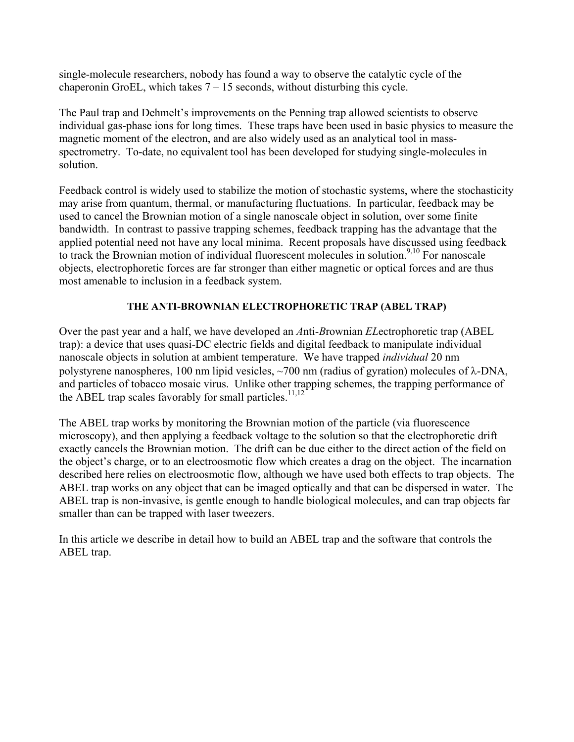single-molecule researchers, nobody has found a way to observe the catalytic cycle of the chaperonin GroEL, which takes  $7 - 15$  seconds, without disturbing this cycle.

The Paul trap and Dehmelt's improvements on the Penning trap allowed scientists to observe individual gas-phase ions for long times. These traps have been used in basic physics to measure the magnetic moment of the electron, and are also widely used as an analytical tool in massspectrometry. To-date, no equivalent tool has been developed for studying single-molecules in solution.

Feedback control is widely used to stabilize the motion of stochastic systems, where the stochasticity may arise from quantum, thermal, or manufacturing fluctuations. In particular, feedback may be used to cancel the Brownian motion of a single nanoscale object in solution, over some finite bandwidth. In contrast to passive trapping schemes, feedback trapping has the advantage that the applied potential need not have any local minima. Recent proposals have discussed using feedback to track the Brownian motion of individual fluorescent molecules in solution.<sup>9,10</sup> For nanoscale objects, electrophoretic forces are far stronger than either magnetic or optical forces and are thus most amenable to inclusion in a feedback system.

# **THE ANTI-BROWNIAN ELECTROPHORETIC TRAP (ABEL TRAP)**

Over the past year and a half, we have developed an *A*nti-*B*rownian *EL*ectrophoretic trap (ABEL trap): a device that uses quasi-DC electric fields and digital feedback to manipulate individual nanoscale objects in solution at ambient temperature. We have trapped *individual* 20 nm polystyrene nanospheres, 100 nm lipid vesicles,  $\sim$ 700 nm (radius of gyration) molecules of λ-DNA, and particles of tobacco mosaic virus. Unlike other trapping schemes, the trapping performance of the ABEL trap scales favorably for small particles.<sup>11,[12](#page-9-11)</sup>

The ABEL trap works by monitoring the Brownian motion of the particle (via fluorescence microscopy), and then applying a feedback voltage to the solution so that the electrophoretic drift exactly cancels the Brownian motion. The drift can be due either to the direct action of the field on the object's charge, or to an electroosmotic flow which creates a drag on the object. The incarnation described here relies on electroosmotic flow, although we have used both effects to trap objects. The ABEL trap works on any object that can be imaged optically and that can be dispersed in water. The ABEL trap is non-invasive, is gentle enough to handle biological molecules, and can trap objects far smaller than can be trapped with laser tweezers.

In this article we describe in detail how to build an ABEL trap and the software that controls the ABEL trap.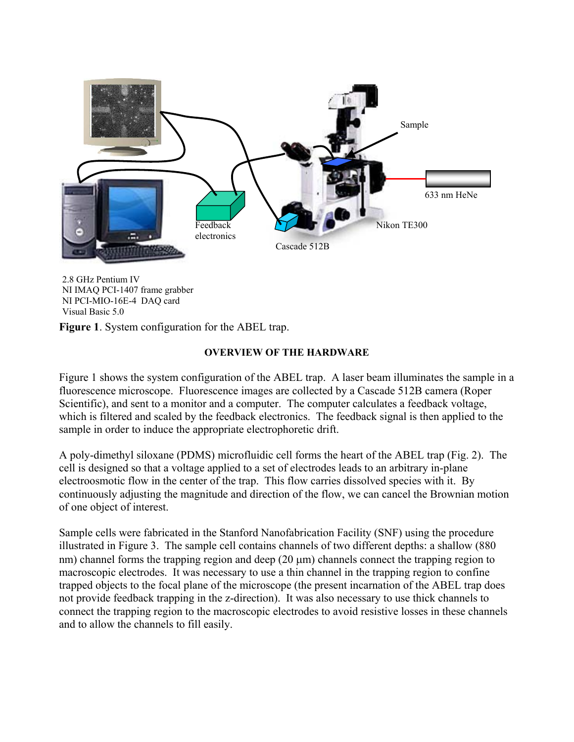

2.8 GHz Pentium IV NI IMAQ PCI-1407 frame grabber NI PCI-MIO-16E-4 DAQ card Visual Basic 5.0

**Figure 1**. System configuration for the ABEL trap.

# **OVERVIEW OF THE HARDWARE**

Figure 1 shows the system configuration of the ABEL trap. A laser beam illuminates the sample in a fluorescence microscope. Fluorescence images are collected by a Cascade 512B camera (Roper Scientific), and sent to a monitor and a computer. The computer calculates a feedback voltage, which is filtered and scaled by the feedback electronics. The feedback signal is then applied to the sample in order to induce the appropriate electrophoretic drift.

A poly-dimethyl siloxane (PDMS) microfluidic cell forms the heart of the ABEL trap (Fig. 2). The cell is designed so that a voltage applied to a set of electrodes leads to an arbitrary in-plane electroosmotic flow in the center of the trap. This flow carries dissolved species with it. By continuously adjusting the magnitude and direction of the flow, we can cancel the Brownian motion of one object of interest.

Sample cells were fabricated in the Stanford Nanofabrication Facility (SNF) using the procedure illustrated in Figure 3. The sample cell contains channels of two different depths: a shallow (880 nm) channel forms the trapping region and deep (20  $\mu$ m) channels connect the trapping region to macroscopic electrodes. It was necessary to use a thin channel in the trapping region to confine trapped objects to the focal plane of the microscope (the present incarnation of the ABEL trap does not provide feedback trapping in the z-direction). It was also necessary to use thick channels to connect the trapping region to the macroscopic electrodes to avoid resistive losses in these channels and to allow the channels to fill easily.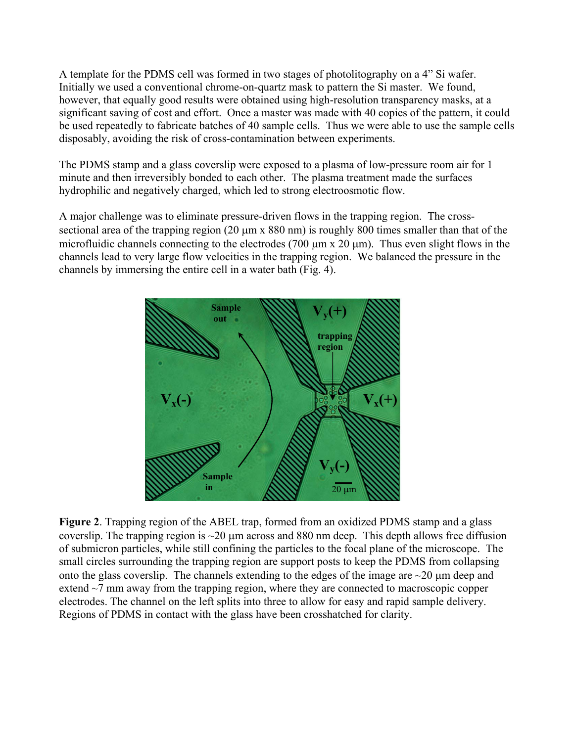A template for the PDMS cell was formed in two stages of photolitography on a 4" Si wafer. Initially we used a conventional chrome-on-quartz mask to pattern the Si master. We found, however, that equally good results were obtained using high-resolution transparency masks, at a significant saving of cost and effort. Once a master was made with 40 copies of the pattern, it could be used repeatedly to fabricate batches of 40 sample cells. Thus we were able to use the sample cells disposably, avoiding the risk of cross-contamination between experiments.

The PDMS stamp and a glass coverslip were exposed to a plasma of low-pressure room air for 1 minute and then irreversibly bonded to each other. The plasma treatment made the surfaces hydrophilic and negatively charged, which led to strong electroosmotic flow.

A major challenge was to eliminate pressure-driven flows in the trapping region. The crosssectional area of the trapping region (20  $\mu$ m x 880 nm) is roughly 800 times smaller than that of the microfluidic channels connecting to the electrodes (700  $\mu$ m x 20  $\mu$ m). Thus even slight flows in the channels lead to very large flow velocities in the trapping region. We balanced the pressure in the channels by immersing the entire cell in a water bath (Fig. 4).



**Figure 2**. Trapping region of the ABEL trap, formed from an oxidized PDMS stamp and a glass coverslip. The trapping region is  $\sim$ 20  $\mu$ m across and 880 nm deep. This depth allows free diffusion of submicron particles, while still confining the particles to the focal plane of the microscope. The small circles surrounding the trapping region are support posts to keep the PDMS from collapsing onto the glass coverslip. The channels extending to the edges of the image are  $\sim$ 20  $\mu$ m deep and extend  $\sim$ 7 mm away from the trapping region, where they are connected to macroscopic copper electrodes. The channel on the left splits into three to allow for easy and rapid sample delivery. Regions of PDMS in contact with the glass have been crosshatched for clarity.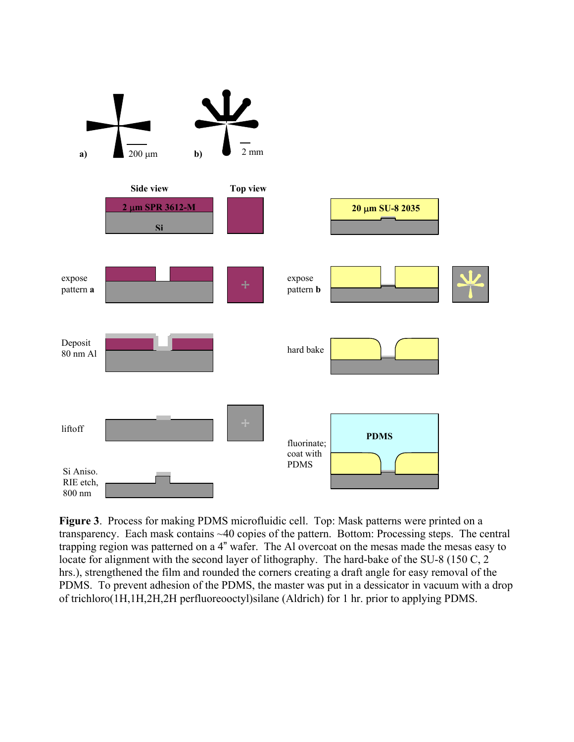

**Figure 3**. Process for making PDMS microfluidic cell. Top: Mask patterns were printed on a transparency. Each mask contains ~40 copies of the pattern. Bottom: Processing steps. The central trapping region was patterned on a 4" wafer. The Al overcoat on the mesas made the mesas easy to locate for alignment with the second layer of lithography. The hard-bake of the SU-8 (150 C, 2 hrs.), strengthened the film and rounded the corners creating a draft angle for easy removal of the PDMS. To prevent adhesion of the PDMS, the master was put in a dessicator in vacuum with a drop of trichloro(1H,1H,2H,2H perfluoreooctyl)silane (Aldrich) for 1 hr. prior to applying PDMS.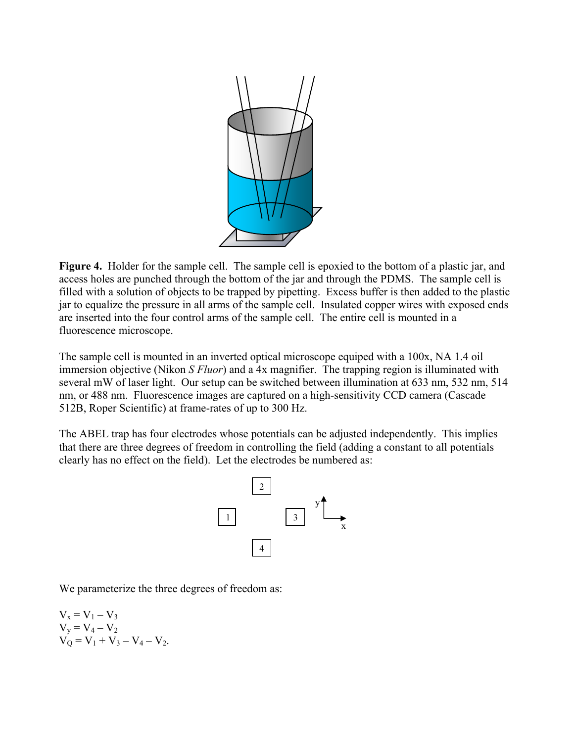

**Figure 4.** Holder for the sample cell. The sample cell is epoxied to the bottom of a plastic jar, and access holes are punched through the bottom of the jar and through the PDMS. The sample cell is filled with a solution of objects to be trapped by pipetting. Excess buffer is then added to the plastic jar to equalize the pressure in all arms of the sample cell. Insulated copper wires with exposed ends are inserted into the four control arms of the sample cell. The entire cell is mounted in a fluorescence microscope.

The sample cell is mounted in an inverted optical microscope equiped with a 100x, NA 1.4 oil immersion objective (Nikon *S Fluor*) and a 4x magnifier. The trapping region is illuminated with several mW of laser light. Our setup can be switched between illumination at 633 nm, 532 nm, 514 nm, or 488 nm. Fluorescence images are captured on a high-sensitivity CCD camera (Cascade 512B, Roper Scientific) at frame-rates of up to 300 Hz.

The ABEL trap has four electrodes whose potentials can be adjusted independently. This implies that there are three degrees of freedom in controlling the field (adding a constant to all potentials clearly has no effect on the field). Let the electrodes be numbered as:



We parameterize the three degrees of freedom as:

 $V_x = V_1 - V_3$  $V_y = V_4 - V_2$  $V_Q = V_1 + V_3 - V_4 - V_2$ .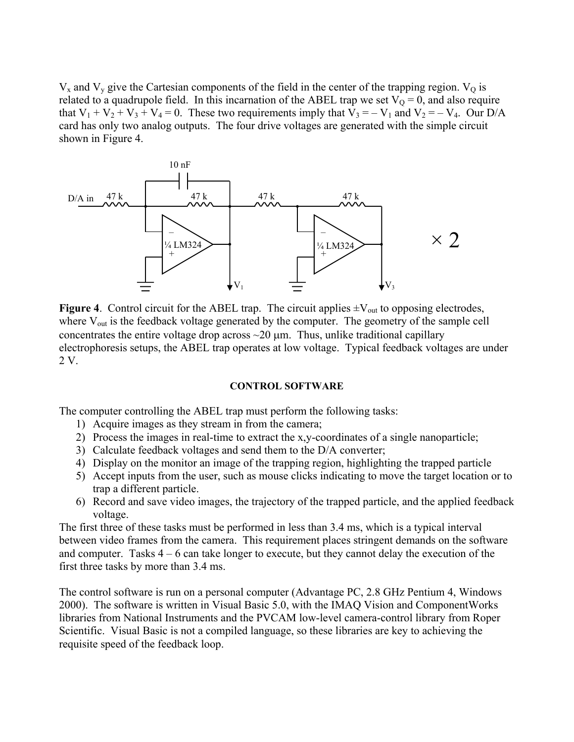$V_x$  and  $V_y$  give the Cartesian components of the field in the center of the trapping region.  $V_{\Omega}$  is related to a quadrupole field. In this incarnation of the ABEL trap we set  $V<sub>Q</sub> = 0$ , and also require that  $V_1 + V_2 + V_3 + V_4 = 0$ . These two requirements imply that  $V_3 = -V_1$  and  $V_2 = -V_4$ . Our D/A card has only two analog outputs. The four drive voltages are generated with the simple circuit shown in Figure 4.



**Figure 4.** Control circuit for the ABEL trap. The circuit applies  $\pm V_{\text{out}}$  to opposing electrodes, where V<sub>out</sub> is the feedback voltage generated by the computer. The geometry of the sample cell concentrates the entire voltage drop across  $\sim$ 20  $\mu$ m. Thus, unlike traditional capillary electrophoresis setups, the ABEL trap operates at low voltage. Typical feedback voltages are under 2 V.

#### **CONTROL SOFTWARE**

The computer controlling the ABEL trap must perform the following tasks:

- 1) Acquire images as they stream in from the camera;
- 2) Process the images in real-time to extract the x,y-coordinates of a single nanoparticle;
- 3) Calculate feedback voltages and send them to the D/A converter;
- 4) Display on the monitor an image of the trapping region, highlighting the trapped particle
- 5) Accept inputs from the user, such as mouse clicks indicating to move the target location or to trap a different particle.
- 6) Record and save video images, the trajectory of the trapped particle, and the applied feedback voltage.

The first three of these tasks must be performed in less than 3.4 ms, which is a typical interval between video frames from the camera. This requirement places stringent demands on the software and computer. Tasks  $4 - 6$  can take longer to execute, but they cannot delay the execution of the first three tasks by more than 3.4 ms.

The control software is run on a personal computer (Advantage PC, 2.8 GHz Pentium 4, Windows 2000). The software is written in Visual Basic 5.0, with the IMAQ Vision and ComponentWorks libraries from National Instruments and the PVCAM low-level camera-control library from Roper Scientific. Visual Basic is not a compiled language, so these libraries are key to achieving the requisite speed of the feedback loop.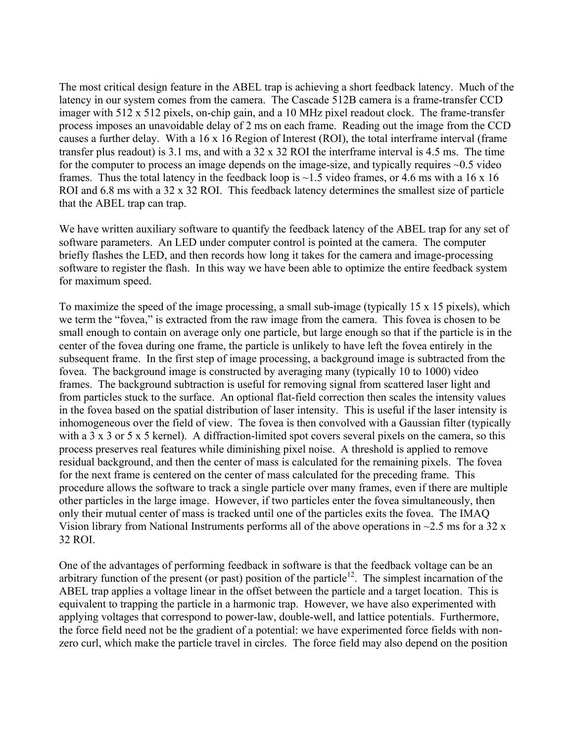The most critical design feature in the ABEL trap is achieving a short feedback latency. Much of the latency in our system comes from the camera. The Cascade 512B camera is a frame-transfer CCD imager with 512 x 512 pixels, on-chip gain, and a 10 MHz pixel readout clock. The frame-transfer process imposes an unavoidable delay of 2 ms on each frame. Reading out the image from the CCD causes a further delay. With a 16 x 16 Region of Interest (ROI), the total interframe interval (frame transfer plus readout) is 3.1 ms, and with a 32 x 32 ROI the interframe interval is 4.5 ms. The time for the computer to process an image depends on the image-size, and typically requires  $\sim 0.5$  video frames. Thus the total latency in the feedback loop is  $\sim$ 1.5 video frames, or 4.6 ms with a 16 x 16 ROI and 6.8 ms with a 32 x 32 ROI. This feedback latency determines the smallest size of particle that the ABEL trap can trap.

We have written auxiliary software to quantify the feedback latency of the ABEL trap for any set of software parameters. An LED under computer control is pointed at the camera. The computer briefly flashes the LED, and then records how long it takes for the camera and image-processing software to register the flash. In this way we have been able to optimize the entire feedback system for maximum speed.

To maximize the speed of the image processing, a small sub-image (typically 15 x 15 pixels), which we term the "fovea," is extracted from the raw image from the camera. This fovea is chosen to be small enough to contain on average only one particle, but large enough so that if the particle is in the center of the fovea during one frame, the particle is unlikely to have left the fovea entirely in the subsequent frame. In the first step of image processing, a background image is subtracted from the fovea. The background image is constructed by averaging many (typically 10 to 1000) video frames. The background subtraction is useful for removing signal from scattered laser light and from particles stuck to the surface. An optional flat-field correction then scales the intensity values in the fovea based on the spatial distribution of laser intensity. This is useful if the laser intensity is inhomogeneous over the field of view. The fovea is then convolved with a Gaussian filter (typically with a 3 x 3 or 5 x 5 kernel). A diffraction-limited spot covers several pixels on the camera, so this process preserves real features while diminishing pixel noise. A threshold is applied to remove residual background, and then the center of mass is calculated for the remaining pixels. The fovea for the next frame is centered on the center of mass calculated for the preceding frame. This procedure allows the software to track a single particle over many frames, even if there are multiple other particles in the large image. However, if two particles enter the fovea simultaneously, then only their mutual center of mass is tracked until one of the particles exits the fovea. The IMAQ Vision library from National Instruments performs all of the above operations in  $\sim$ 2.5 ms for a 32 x 32 ROI.

One of the advantages of performing feedback in software is that the feedback voltage can be an arbitrary function of the present (or past) position of the particle<sup>12</sup>. The simplest incarnation of the ABEL trap applies a voltage linear in the offset between the particle and a target location. This is equivalent to trapping the particle in a harmonic trap. However, we have also experimented with applying voltages that correspond to power-law, double-well, and lattice potentials. Furthermore, the force field need not be the gradient of a potential: we have experimented force fields with nonzero curl, which make the particle travel in circles. The force field may also depend on the position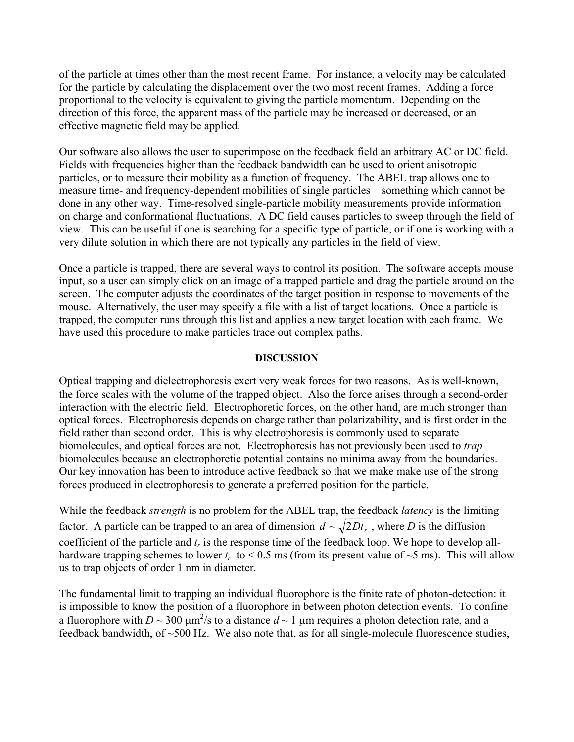of the particle at times other than the most recent frame. For instance, a velocity may be calculated for the particle by calculating the displacement over the two most recent frames. Adding a force proportional to the velocity is equivalent to giving the particle momentum. Depending on the direction of this force, the apparent mass of the particle may be increased or decreased, or an effective magnetic field may be applied.

Our software also allows the user to superimpose on the feedback field an arbitrary AC or DC field. Fields with frequencies higher than the feedback bandwidth can be used to orient anisotropic particles, or to measure their mobility as a function of frequency. The ABEL trap allows one to measure time- and frequency-dependent mobilities of single particles—something which cannot be done in any other way. Time-resolved single-particle mobility measurements provide information on charge and conformational fluctuations. A DC field causes particles to sweep through the field of view. This can be useful if one is searching for a specific type of particle, or if one is working with a very dilute solution in which there are not typically any particles in the field of view.

Once a particle is trapped, there are several ways to control its position. The software accepts mouse input, so a user can simply click on an image of a trapped particle and drag the particle around on the screen. The computer adjusts the coordinates of the target position in response to movements of the mouse. Alternatively, the user may specify a file with a list of target locations. Once a particle is trapped, the computer runs through this list and applies a new target location with each frame. We have used this procedure to make particles trace out complex paths.

# **DISCUSSION**

Optical trapping and dielectrophoresis exert very weak forces for two reasons. As is well-known, the force scales with the volume of the trapped object. Also the force arises through a second-order interaction with the electric field. Electrophoretic forces, on the other hand, are much stronger than optical forces. Electrophoresis depends on charge rather than polarizability, and is first order in the field rather than second order. This is why electrophoresis is commonly used to separate biomolecules, and optical forces are not. Electrophoresis has not previously been used to *trap*  biomolecules because an electrophoretic potential contains no minima away from the boundaries. Our key innovation has been to introduce active feedback so that we make make use of the strong forces produced in electrophoresis to generate a preferred position for the particle.

While the feedback *strength* is no problem for the ABEL trap, the feedback *latency* is the limiting factor. A particle can be trapped to an area of dimension  $d \sim \sqrt{2Dt_r}$ , where *D* is the diffusion coefficient of the particle and  $t_r$  is the response time of the feedback loop. We hope to develop allhardware trapping schemes to lower  $t_r$  to  $\leq$  0.5 ms (from its present value of  $\sim$ 5 ms). This will allow us to trap objects of order 1 nm in diameter.

The fundamental limit to trapping an individual fluorophore is the finite rate of photon-detection: it is impossible to know the position of a fluorophore in between photon detection events. To confine a fluorophore with  $D \sim 300 \text{ }\mu\text{m}^2/\text{s}$  to a distance  $d \sim 1 \text{ }\mu\text{m}$  requires a photon detection rate, and a feedback bandwidth, of ~500 Hz. We also note that, as for all single-molecule fluorescence studies,